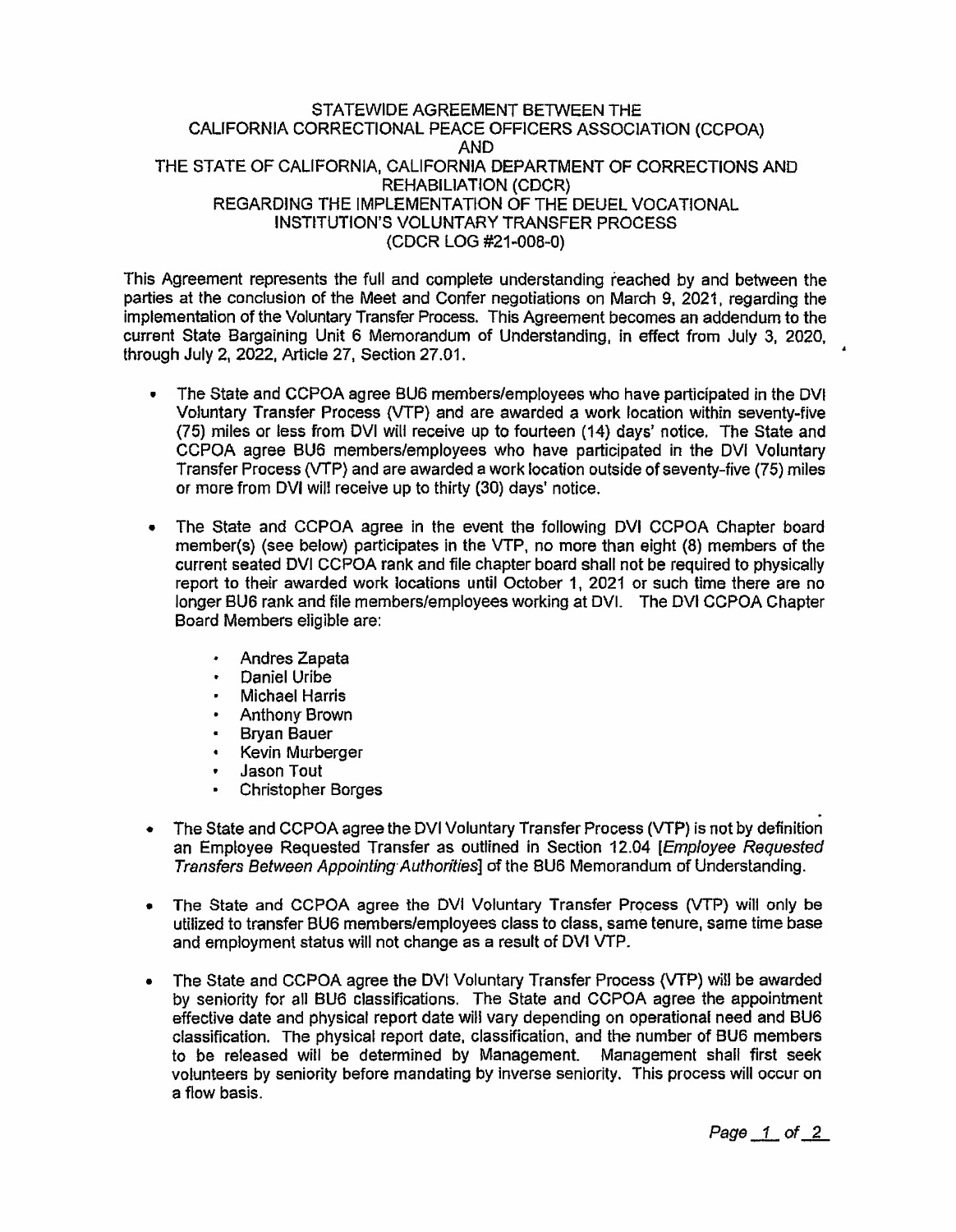## STATEWIDE AGREEMENT BETWEEN THE CALIFORNIA CORRECTIONAL PEACE OFFICERS ASSOCIATION (CCPOA) AND THE STATE OF CALIFORNIA, CALIFORNIA DEPARTMENT OF CORRECTIONS AND REHABILIATION (CDCR) REGARDING THE IMPLEMENTATION OF THE DEUEL VOCATIONAL INSTITUTION'S VOLUNTARY TRANSFER PROCESS (CDCR LOG #21 ..008-0)

This Agreement represents the full and complete understanding reached by and between the parties at the conclusion of the Meet and Confer negotiations on March 9, 2021, regarding the implementation of the Voluntary Transfer Process. This Agreement becomes an addendum to the current State Bargaining Unit 6 Memorandum of Understanding. in effect from July 3, 2020, through July 2,  $2022$ , Article 27, Section 27.01.

- The State and CCPOA agree BU6 members/employees who have participated in the DVI VoJuntary Transfer Process (VTP) and are awarded a work location within seventy-five (75) miles or less from DVI will receive up to fourteen (14) days' notice. The State and CCPOA agree BU6 members/employees who have participated in the DVI Voluntary Transfer Process {VTP} and are awarded a work location outside of seventy-five (75) miles or more from DVI will receive up to thirty (30) days' notice.
- The State and CCPOA agree in the event the following DVI CCPOA Chapter board member(s) (see below) participates in the VTP, no more than eight (8) members of the current seated DVI CCPOA rank and file chapter board shall not be required to physically report to their awarded work locations until October 1, 2021 or such time there are no longer BU6 rank and file members/employees working at DVI. The DVI CCPOA Chapter Board Members eligible are:
	- Andres Zapata
	- Daniel Uribe
	- Michael Harris
	- Anthony· Brown
	- Bryan Bauer
	- Kevin Murberger
	- <sup>~</sup>Jason Tout
	- Christopher Borges
- The State and CCPOA agree the DVI Voluntary Transfer Process (VTP) is not by definition an Employee Requested Transfer as outtined in Section 12.04 [Employee Requested Transfers Between Appointing Authorities] of the BU6 Memorandum of Understanding.
- The State and CCPOA agree the DVI Voluntary Transfer Process (VTP) will only be utilized to transfer BU6 members/employees class to class, same tenure, same time base and employment status will not change as a result of DVI VTP.
- The State and CCPOA agree the DVI Voluntary Transfer Process (VTP) will be awarded by seniority for all BU6 classifications. The State and CCPOA agree the appointment effective date and physical report date will vary depending on operational need and BU6 classification. The physical report date, classification, and the number of BUB members to be reteased will be determined by Management. Management shall first seek volunteers by seniority before mandating by inverse seniority. This process will occur on a flow basis.

Page  $1$  of  $2$